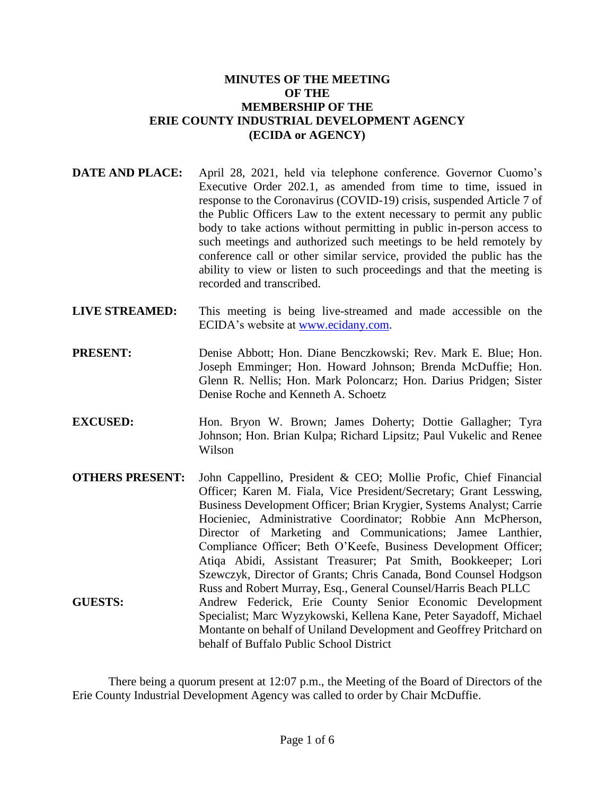## **MINUTES OF THE MEETING OF THE MEMBERSHIP OF THE ERIE COUNTY INDUSTRIAL DEVELOPMENT AGENCY (ECIDA or AGENCY)**

- **DATE AND PLACE:** April 28, 2021, held via telephone conference. Governor Cuomo's Executive Order 202.1, as amended from time to time, issued in response to the Coronavirus (COVID-19) crisis, suspended Article 7 of the Public Officers Law to the extent necessary to permit any public body to take actions without permitting in public in-person access to such meetings and authorized such meetings to be held remotely by conference call or other similar service, provided the public has the ability to view or listen to such proceedings and that the meeting is recorded and transcribed.
- **LIVE STREAMED:** This meeting is being live-streamed and made accessible on the ECIDA's website at [www.ecidany.com.](http://www.ecidany.com/)
- **PRESENT:** Denise Abbott; Hon. Diane Benczkowski; Rev. Mark E. Blue; Hon. Joseph Emminger; Hon. Howard Johnson; Brenda McDuffie; Hon. Glenn R. Nellis; Hon. Mark Poloncarz; Hon. Darius Pridgen; Sister Denise Roche and Kenneth A. Schoetz
- **EXCUSED:** Hon. Bryon W. Brown; James Doherty; Dottie Gallagher; Tyra Johnson; Hon. Brian Kulpa; Richard Lipsitz; Paul Vukelic and Renee Wilson
- **OTHERS PRESENT:** John Cappellino, President & CEO; Mollie Profic, Chief Financial Officer; Karen M. Fiala, Vice President/Secretary; Grant Lesswing, Business Development Officer; Brian Krygier, Systems Analyst; Carrie Hocieniec, Administrative Coordinator; Robbie Ann McPherson, Director of Marketing and Communications; Jamee Lanthier, Compliance Officer; Beth O'Keefe, Business Development Officer; Atiqa Abidi, Assistant Treasurer; Pat Smith, Bookkeeper; Lori Szewczyk, Director of Grants; Chris Canada, Bond Counsel Hodgson Russ and Robert Murray, Esq., General Counsel/Harris Beach PLLC **GUESTS:** Andrew Federick, Erie County Senior Economic Development Specialist; Marc Wyzykowski, Kellena Kane, Peter Sayadoff, Michael Montante on behalf of Uniland Development and Geoffrey Pritchard on behalf of Buffalo Public School District

There being a quorum present at 12:07 p.m., the Meeting of the Board of Directors of the Erie County Industrial Development Agency was called to order by Chair McDuffie.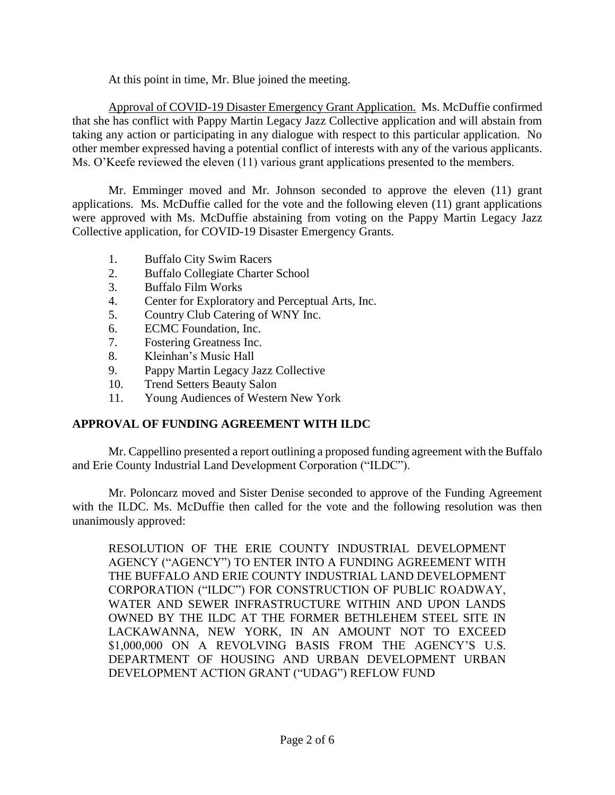At this point in time, Mr. Blue joined the meeting.

Approval of COVID-19 Disaster Emergency Grant Application. Ms. McDuffie confirmed that she has conflict with Pappy Martin Legacy Jazz Collective application and will abstain from taking any action or participating in any dialogue with respect to this particular application. No other member expressed having a potential conflict of interests with any of the various applicants. Ms. O'Keefe reviewed the eleven (11) various grant applications presented to the members.

Mr. Emminger moved and Mr. Johnson seconded to approve the eleven (11) grant applications. Ms. McDuffie called for the vote and the following eleven (11) grant applications were approved with Ms. McDuffie abstaining from voting on the Pappy Martin Legacy Jazz Collective application, for COVID-19 Disaster Emergency Grants.

- 1. Buffalo City Swim Racers
- 2. Buffalo Collegiate Charter School
- 3. Buffalo Film Works
- 4. Center for Exploratory and Perceptual Arts, Inc.
- 5. Country Club Catering of WNY Inc.
- 6. ECMC Foundation, Inc.
- 7. Fostering Greatness Inc.
- 8. Kleinhan's Music Hall
- 9. Pappy Martin Legacy Jazz Collective
- 10. Trend Setters Beauty Salon
- 11. Young Audiences of Western New York

# **APPROVAL OF FUNDING AGREEMENT WITH ILDC**

Mr. Cappellino presented a report outlining a proposed funding agreement with the Buffalo and Erie County Industrial Land Development Corporation ("ILDC").

Mr. Poloncarz moved and Sister Denise seconded to approve of the Funding Agreement with the ILDC. Ms. McDuffie then called for the vote and the following resolution was then unanimously approved:

RESOLUTION OF THE ERIE COUNTY INDUSTRIAL DEVELOPMENT AGENCY ("AGENCY") TO ENTER INTO A FUNDING AGREEMENT WITH THE BUFFALO AND ERIE COUNTY INDUSTRIAL LAND DEVELOPMENT CORPORATION ("ILDC") FOR CONSTRUCTION OF PUBLIC ROADWAY, WATER AND SEWER INFRASTRUCTURE WITHIN AND UPON LANDS OWNED BY THE ILDC AT THE FORMER BETHLEHEM STEEL SITE IN LACKAWANNA, NEW YORK, IN AN AMOUNT NOT TO EXCEED \$1,000,000 ON A REVOLVING BASIS FROM THE AGENCY'S U.S. DEPARTMENT OF HOUSING AND URBAN DEVELOPMENT URBAN DEVELOPMENT ACTION GRANT ("UDAG") REFLOW FUND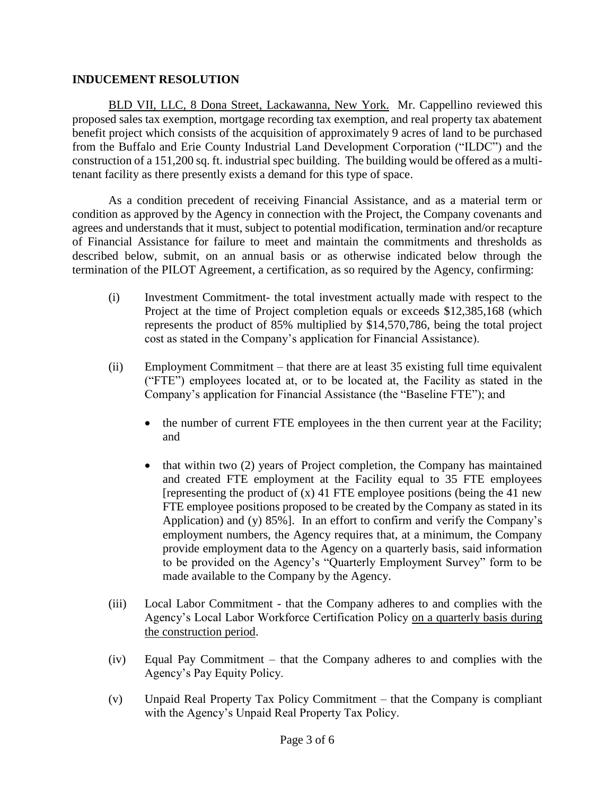## **INDUCEMENT RESOLUTION**

BLD VII, LLC, 8 Dona Street, Lackawanna, New York. Mr. Cappellino reviewed this proposed sales tax exemption, mortgage recording tax exemption, and real property tax abatement benefit project which consists of the acquisition of approximately 9 acres of land to be purchased from the Buffalo and Erie County Industrial Land Development Corporation ("ILDC") and the construction of a 151,200 sq. ft. industrial spec building. The building would be offered as a multitenant facility as there presently exists a demand for this type of space.

As a condition precedent of receiving Financial Assistance, and as a material term or condition as approved by the Agency in connection with the Project, the Company covenants and agrees and understands that it must, subject to potential modification, termination and/or recapture of Financial Assistance for failure to meet and maintain the commitments and thresholds as described below, submit, on an annual basis or as otherwise indicated below through the termination of the PILOT Agreement, a certification, as so required by the Agency, confirming:

- (i) Investment Commitment- the total investment actually made with respect to the Project at the time of Project completion equals or exceeds \$12,385,168 (which represents the product of 85% multiplied by \$14,570,786, being the total project cost as stated in the Company's application for Financial Assistance).
- (ii) Employment Commitment that there are at least 35 existing full time equivalent ("FTE") employees located at, or to be located at, the Facility as stated in the Company's application for Financial Assistance (the "Baseline FTE"); and
	- the number of current FTE employees in the then current year at the Facility; and
	- $\bullet$  that within two (2) years of Project completion, the Company has maintained and created FTE employment at the Facility equal to 35 FTE employees [representing the product of  $(x)$  41 FTE employee positions (being the 41 new FTE employee positions proposed to be created by the Company as stated in its Application) and (y) 85%]. In an effort to confirm and verify the Company's employment numbers, the Agency requires that, at a minimum, the Company provide employment data to the Agency on a quarterly basis, said information to be provided on the Agency's "Quarterly Employment Survey" form to be made available to the Company by the Agency.
- (iii) Local Labor Commitment that the Company adheres to and complies with the Agency's Local Labor Workforce Certification Policy on a quarterly basis during the construction period.
- (iv) Equal Pay Commitment that the Company adheres to and complies with the Agency's Pay Equity Policy.
- (v) Unpaid Real Property Tax Policy Commitment that the Company is compliant with the Agency's Unpaid Real Property Tax Policy.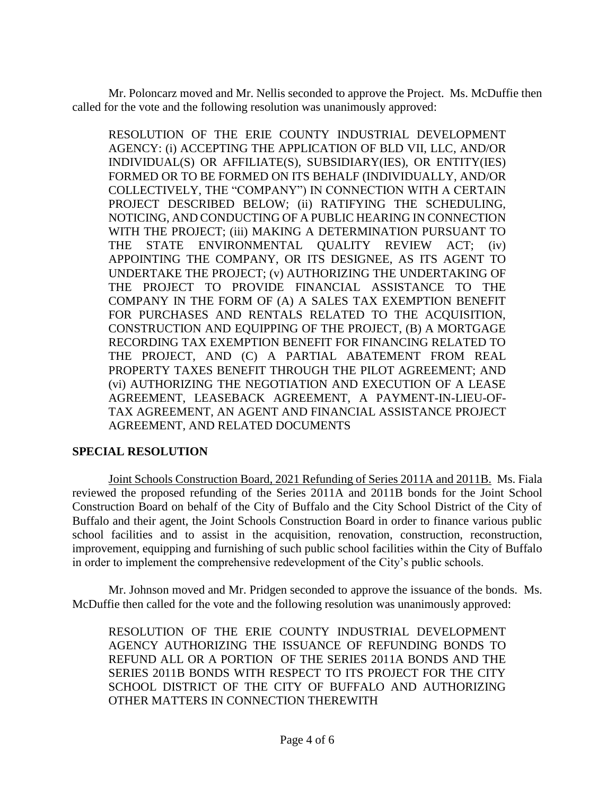Mr. Poloncarz moved and Mr. Nellis seconded to approve the Project. Ms. McDuffie then called for the vote and the following resolution was unanimously approved:

RESOLUTION OF THE ERIE COUNTY INDUSTRIAL DEVELOPMENT AGENCY: (i) ACCEPTING THE APPLICATION OF BLD VII, LLC, AND/OR INDIVIDUAL(S) OR AFFILIATE(S), SUBSIDIARY(IES), OR ENTITY(IES) FORMED OR TO BE FORMED ON ITS BEHALF (INDIVIDUALLY, AND/OR COLLECTIVELY, THE "COMPANY") IN CONNECTION WITH A CERTAIN PROJECT DESCRIBED BELOW; (ii) RATIFYING THE SCHEDULING, NOTICING, AND CONDUCTING OF A PUBLIC HEARING IN CONNECTION WITH THE PROJECT; (iii) MAKING A DETERMINATION PURSUANT TO THE STATE ENVIRONMENTAL QUALITY REVIEW ACT; (iv) APPOINTING THE COMPANY, OR ITS DESIGNEE, AS ITS AGENT TO UNDERTAKE THE PROJECT; (v) AUTHORIZING THE UNDERTAKING OF THE PROJECT TO PROVIDE FINANCIAL ASSISTANCE TO THE COMPANY IN THE FORM OF (A) A SALES TAX EXEMPTION BENEFIT FOR PURCHASES AND RENTALS RELATED TO THE ACQUISITION, CONSTRUCTION AND EQUIPPING OF THE PROJECT, (B) A MORTGAGE RECORDING TAX EXEMPTION BENEFIT FOR FINANCING RELATED TO THE PROJECT, AND (C) A PARTIAL ABATEMENT FROM REAL PROPERTY TAXES BENEFIT THROUGH THE PILOT AGREEMENT; AND (vi) AUTHORIZING THE NEGOTIATION AND EXECUTION OF A LEASE AGREEMENT, LEASEBACK AGREEMENT, A PAYMENT-IN-LIEU-OF-TAX AGREEMENT, AN AGENT AND FINANCIAL ASSISTANCE PROJECT AGREEMENT, AND RELATED DOCUMENTS

## **SPECIAL RESOLUTION**

Joint Schools Construction Board, 2021 Refunding of Series 2011A and 2011B. Ms. Fiala reviewed the proposed refunding of the Series 2011A and 2011B bonds for the Joint School Construction Board on behalf of the City of Buffalo and the City School District of the City of Buffalo and their agent, the Joint Schools Construction Board in order to finance various public school facilities and to assist in the acquisition, renovation, construction, reconstruction, improvement, equipping and furnishing of such public school facilities within the City of Buffalo in order to implement the comprehensive redevelopment of the City's public schools.

Mr. Johnson moved and Mr. Pridgen seconded to approve the issuance of the bonds. Ms. McDuffie then called for the vote and the following resolution was unanimously approved:

RESOLUTION OF THE ERIE COUNTY INDUSTRIAL DEVELOPMENT AGENCY AUTHORIZING THE ISSUANCE OF REFUNDING BONDS TO REFUND ALL OR A PORTION OF THE SERIES 2011A BONDS AND THE SERIES 2011B BONDS WITH RESPECT TO ITS PROJECT FOR THE CITY SCHOOL DISTRICT OF THE CITY OF BUFFALO AND AUTHORIZING OTHER MATTERS IN CONNECTION THEREWITH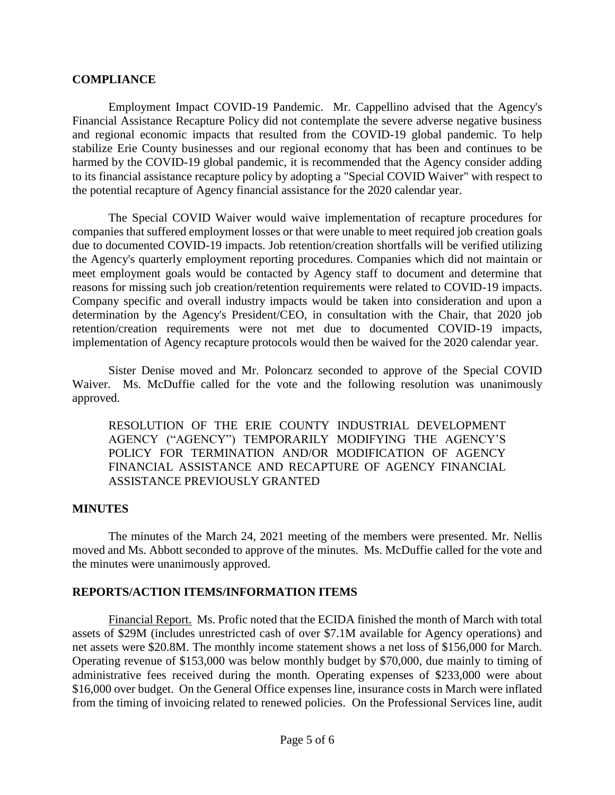### **COMPLIANCE**

Employment Impact COVID-19 Pandemic. Mr. Cappellino advised that the Agency's Financial Assistance Recapture Policy did not contemplate the severe adverse negative business and regional economic impacts that resulted from the COVID-19 global pandemic. To help stabilize Erie County businesses and our regional economy that has been and continues to be harmed by the COVID-19 global pandemic, it is recommended that the Agency consider adding to its financial assistance recapture policy by adopting a "Special COVID Waiver" with respect to the potential recapture of Agency financial assistance for the 2020 calendar year.

The Special COVID Waiver would waive implementation of recapture procedures for companies that suffered employment losses or that were unable to meet required job creation goals due to documented COVID-19 impacts. Job retention/creation shortfalls will be verified utilizing the Agency's quarterly employment reporting procedures. Companies which did not maintain or meet employment goals would be contacted by Agency staff to document and determine that reasons for missing such job creation/retention requirements were related to COVID-19 impacts. Company specific and overall industry impacts would be taken into consideration and upon a determination by the Agency's President/CEO, in consultation with the Chair, that 2020 job retention/creation requirements were not met due to documented COVID-19 impacts, implementation of Agency recapture protocols would then be waived for the 2020 calendar year.

Sister Denise moved and Mr. Poloncarz seconded to approve of the Special COVID Waiver. Ms. McDuffie called for the vote and the following resolution was unanimously approved.

RESOLUTION OF THE ERIE COUNTY INDUSTRIAL DEVELOPMENT AGENCY ("AGENCY") TEMPORARILY MODIFYING THE AGENCY'S POLICY FOR TERMINATION AND/OR MODIFICATION OF AGENCY FINANCIAL ASSISTANCE AND RECAPTURE OF AGENCY FINANCIAL ASSISTANCE PREVIOUSLY GRANTED

#### **MINUTES**

The minutes of the March 24, 2021 meeting of the members were presented. Mr. Nellis moved and Ms. Abbott seconded to approve of the minutes. Ms. McDuffie called for the vote and the minutes were unanimously approved.

## **REPORTS/ACTION ITEMS/INFORMATION ITEMS**

Financial Report. Ms. Profic noted that the ECIDA finished the month of March with total assets of \$29M (includes unrestricted cash of over \$7.1M available for Agency operations) and net assets were \$20.8M. The monthly income statement shows a net loss of \$156,000 for March. Operating revenue of \$153,000 was below monthly budget by \$70,000, due mainly to timing of administrative fees received during the month. Operating expenses of \$233,000 were about \$16,000 over budget. On the General Office expenses line, insurance costs in March were inflated from the timing of invoicing related to renewed policies. On the Professional Services line, audit